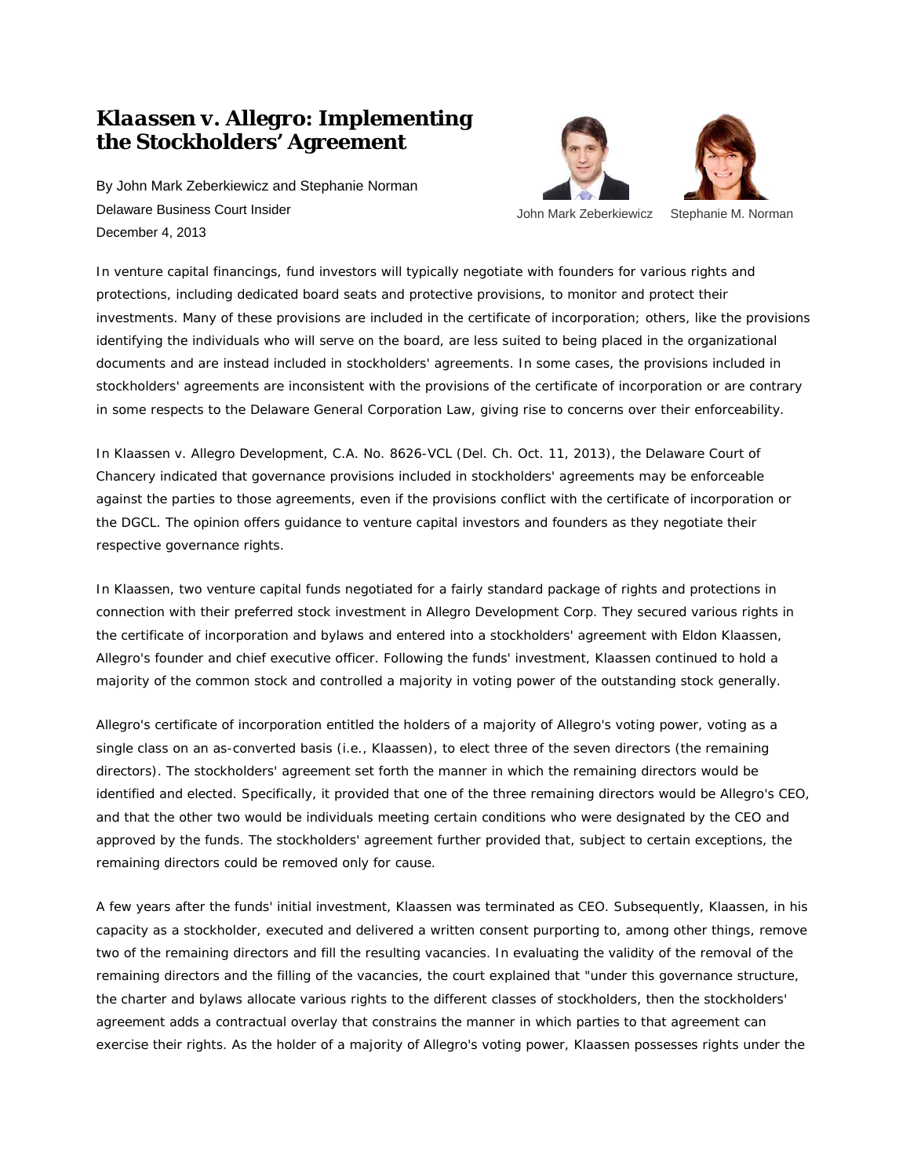## *Klaassen v. Allegro***: Implementing the Stockholders' Agreement**

By John Mark Zeberkiewicz and Stephanie Norman Delaware Business Court Insider December 4, 2013





John Mark Zeberkiewicz Stephanie M. Norman

In venture capital financings, fund investors will typically negotiate with founders for various rights and protections, including dedicated board seats and protective provisions, to monitor and protect their investments. Many of these provisions are included in the certificate of incorporation; others, like the provisions identifying the individuals who will serve on the board, are less suited to being placed in the organizational documents and are instead included in stockholders' agreements. In some cases, the provisions included in stockholders' agreements are inconsistent with the provisions of the certificate of incorporation or are contrary in some respects to the Delaware General Corporation Law, giving rise to concerns over their enforceability.

In *Klaassen v. Allegro Development*, C.A. No. 8626-VCL (Del. Ch. Oct. 11, 2013), the Delaware Court of Chancery indicated that governance provisions included in stockholders' agreements may be enforceable against the parties to those agreements, even if the provisions conflict with the certificate of incorporation or the DGCL. The opinion offers guidance to venture capital investors and founders as they negotiate their respective governance rights.

In *Klaassen*, two venture capital funds negotiated for a fairly standard package of rights and protections in connection with their preferred stock investment in Allegro Development Corp. They secured various rights in the certificate of incorporation and bylaws and entered into a stockholders' agreement with Eldon Klaassen, Allegro's founder and chief executive officer. Following the funds' investment, Klaassen continued to hold a majority of the common stock and controlled a majority in voting power of the outstanding stock generally.

Allegro's certificate of incorporation entitled the holders of a majority of Allegro's voting power, voting as a single class on an as-converted basis (i.e., Klaassen), to elect three of the seven directors (the remaining directors). The stockholders' agreement set forth the manner in which the remaining directors would be identified and elected. Specifically, it provided that one of the three remaining directors would be Allegro's CEO, and that the other two would be individuals meeting certain conditions who were designated by the CEO and approved by the funds. The stockholders' agreement further provided that, subject to certain exceptions, the remaining directors could be removed only for cause.

A few years after the funds' initial investment, Klaassen was terminated as CEO. Subsequently, Klaassen, in his capacity as a stockholder, executed and delivered a written consent purporting to, among other things, remove two of the remaining directors and fill the resulting vacancies. In evaluating the validity of the removal of the remaining directors and the filling of the vacancies, the court explained that "under this governance structure, the charter and bylaws allocate various rights to the different classes of stockholders, then the stockholders' agreement adds a contractual overlay that constrains the manner in which parties to that agreement can exercise their rights. As the holder of a majority of Allegro's voting power, Klaassen possesses rights under the